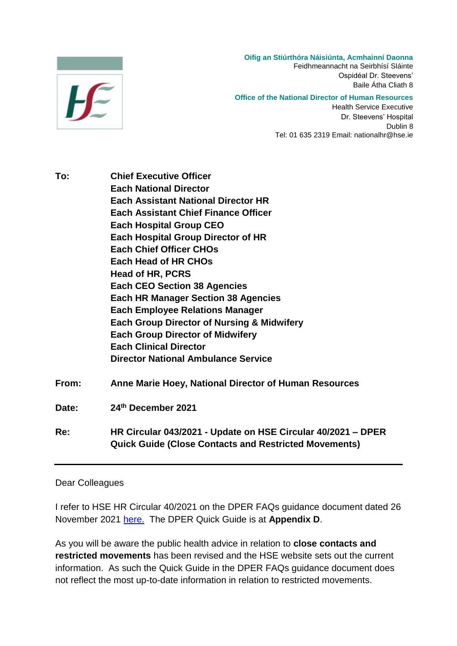

**Oifig an Stiúrthóra Náisiúnta, Acmhainní Daonna**

Feidhmeannacht na Seirbhísí Sláinte Ospidéal Dr. Steevens' Baile Átha Cliath 8

#### **Office of the National Director of Human Resources**

Health Service Executive Dr. Steevens' Hospital Dublin 8 Tel: 01 635 2319 Email: nationalhr@hse.ie

**To: Chief Executive Officer Each National Director Each Assistant National Director HR Each Assistant Chief Finance Officer Each Hospital Group CEO Each Hospital Group Director of HR Each Chief Officer CHOs Each Head of HR CHOs Head of HR, PCRS Each CEO Section 38 Agencies Each HR Manager Section 38 Agencies Each Employee Relations Manager Each Group Director of Nursing & Midwifery Each Group Director of Midwifery Each Clinical Director Director National Ambulance Service From: Anne Marie Hoey, National Director of Human Resources Date: 24th December 2021 Re: HR Circular 043/2021 - Update on HSE Circular 40/2021 – DPER Quick Guide (Close Contacts and Restricted Movements)**

### Dear Colleagues

I refer to HSE HR Circular 40/2021 on the DPER FAQs guidance document dated 26 November 2021 [here.](https://www.hse.ie/eng/staff/resources/hr-circulars/hr-circular-040-2021-re-updated-dper-faqs-re-working-arrangements-and-leave-associated-with-covid-19-26-nov-2021.html) The DPER Quick Guide is at **Appendix D**.

As you will be aware the public health advice in relation to **close contacts and restricted movements** has been revised and the HSE website sets out the current information. As such the Quick Guide in the DPER FAQs guidance document does not reflect the most up-to-date information in relation to restricted movements.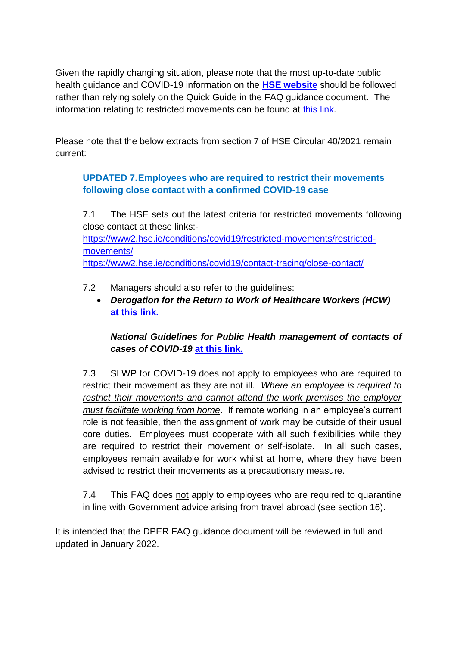Given the rapidly changing situation, please note that the most up-to-date public health guidance and COVID-19 information on the **[HSE website](https://scanner.topsec.com/?u=https%3A%2F%2Fwww2.hse.ie%2Fconditions%2Fcovid19%2F&d=1823&r=show&t=9abe83ffe08dfa945a3b5971b371833cd8d33dd1)** should be followed rather than relying solely on the Quick Guide in the FAQ guidance document. The information relating to restricted movements can be found at [this link.](https://scanner.topsec.com/?u=https%3A%2F%2Fwww2.hse.ie%2Fconditions%2Fcovid19%2Fcontact-tracing%2Fclose-contact%2F&d=1823&r=show&t=95c8c36551fe1b2a20644bcd5384d9671a94d839)

Please note that the below extracts from section 7 of HSE Circular 40/2021 remain current:

# **UPDATED 7.Employees who are required to restrict their movements following close contact with a confirmed COVID-19 case**

7.1 The HSE sets out the latest criteria for restricted movements following close contact at these links: [https://www2.hse.ie/conditions/covid19/restricted-movements/restricted](https://www2.hse.ie/conditions/covid19/restricted-movements/restricted-movements/)[movements/](https://www2.hse.ie/conditions/covid19/restricted-movements/restricted-movements/) <https://www2.hse.ie/conditions/covid19/contact-tracing/close-contact/>

- 7.2 Managers should also refer to the guidelines:
	- *Derogation for the Return to Work of Healthcare Workers (HCW)*  **[at this link.](https://www.hse.ie/eng/staff/workplace-health-and-wellbeing-unit/covid-19-guidance/)**

## *National Guidelines for Public Health management of contacts of cases of COVID-19* **[at this link.](https://www.hpsc.ie/a-z/respiratory/coronavirus/novelcoronavirus/guidance/contacttracingguidance/)**

7.3 SLWP for COVID-19 does not apply to employees who are required to restrict their movement as they are not ill. *Where an employee is required to restrict their movements and cannot attend the work premises the employer must facilitate working from home*. If remote working in an employee's current role is not feasible, then the assignment of work may be outside of their usual core duties. Employees must cooperate with all such flexibilities while they are required to restrict their movement or self-isolate. In all such cases, employees remain available for work whilst at home, where they have been advised to restrict their movements as a precautionary measure.

7.4 This FAQ does not apply to employees who are required to quarantine in line with Government advice arising from travel abroad (see section 16).

It is intended that the DPER FAQ guidance document will be reviewed in full and updated in January 2022.